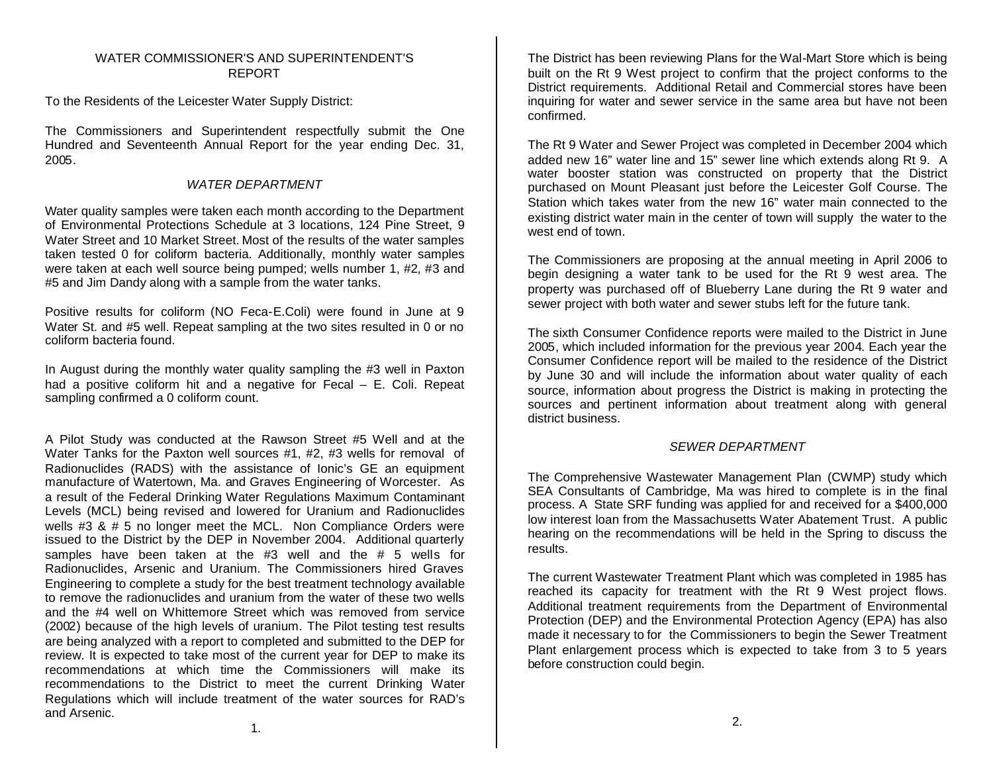# WATER COMMISSIONER'S AND SUPERINTENDENT'S REPORT

To the Residents of the Leicester Water Supply District:

The Commissioners and Superintendent respectfully submit the One Hundred and Seventeenth Annual Report for the year ending Dec. 31, 2005.

# *WATER DEPARTMENT*

Water quality samples were taken each month according to the Department of Environmental Protections Schedule at 3 locations, 124 Pine Street, 9 Water Street and 10 Market Street. Most of the results of the water samples taken tested 0 for coliform bacteria. Additionally, monthly water samples were taken at each well source being pumped; wells number 1, #2, #3 and #5 and Jim Dandy along with a sample from the water tanks.

Positive results for coliform (NO Feca-E.Coli) were found in June at 9 Water St. and #5 well. Repeat sampling at the two sites resulted in 0 or no coliform bacteria found.

In August during the monthly water quality sampling the #3 well in Paxton had a positive coliform hit and a negative for Fecal – E. Coli. Repeat sampling confirmed a 0 coliform count.

A Pilot Study was conducted at the Rawson Street #5 Well and at the Water Tanks for the Paxton well sources #1, #2, #3 wells for removal of Radionuclides (RADS) with the assistance of Ionic's GE an equipment manufacture of Watertown, Ma. and Graves Engineering of Worcester. As a result of the Federal Drinking Water Regulations Maximum Contaminant Levels (MCL) being revised and lowered for Uranium and Radionuclides wells #3 & # 5 no longer meet the MCL. Non Compliance Orders were issued to the District by the DEP in November 2004. Additional quarterly samples have been taken at the #3 well and the # 5 wells for Radionuclides, Arsenic and Uranium. The Commissioners hired Graves Engineering to complete a study for the best treatment technology available to remove the radionuclides and uranium from the water of these two wells and the #4 well on Whittemore Street which was removed from service (2002) because of the high levels of uranium. The Pilot testing test results are being analyzed with a report to completed and submitted to the DEP for review. It is expected to take most of the current year for DEP to make its recommendations at which time the Commissioners will make its recommendations to the District to meet the current Drinking Water Regulations which will include treatment of the water sources for RAD's and Arsenic.

The District has been reviewing Plans for the Wal-Mart Store which is being built on the Rt 9 West project to confirm that the project conforms to the District requirements. Additional Retail and Commercial stores have been inquiring for water and sewer service in the same area but have not been confirmed.

The Rt 9 Water and Sewer Project was completed in December 2004 which added new 16" water line and 15" sewer line which extends along Rt 9. A water booster station was constructed on property that the District purchased on Mount Pleasant just before the Leicester Golf Course. The Station which takes water from the new 16" water main connected to the existing district water main in the center of town will supply the water to the west end of town.

The Commissioners are proposing at the annual meeting in April 2006 to begin designing a water tank to be used for the Rt 9 west area. The property was purchased off of Blueberry Lane during the Rt 9 water and sewer project with both water and sewer stubs left for the future tank.

The sixth Consumer Confidence reports were mailed to the District in June 2005, which included information for the previous year 2004. Each year the Consumer Confidence report will be mailed to the residence of the District by June 30 and will include the information about water quality of each source, information about progress the District is making in protecting the sources and pertinent information about treatment along with general district business.

# *SEWER DEPARTMENT*

The Comprehensive Wastewater Management Plan (CWMP) study which SEA Consultants of Cambridge, Ma was hired to complete is in the final process. A State SRF funding was applied for and received for a \$400,000 low interest loan from the Massachusetts Water Abatement Trust. A public hearing on the recommendations will be held in the Spring to discuss the results.

The current Wastewater Treatment Plant which was completed in 1985 has reached its capacity for treatment with the Rt 9 West project flows. Additional treatment requirements from the Department of Environmental Protection (DEP) and the Environmental Protection Agency (EPA) has also made it necessary to for the Commissioners to begin the Sewer Treatment Plant enlargement process which is expected to take from 3 to 5 years before construction could begin.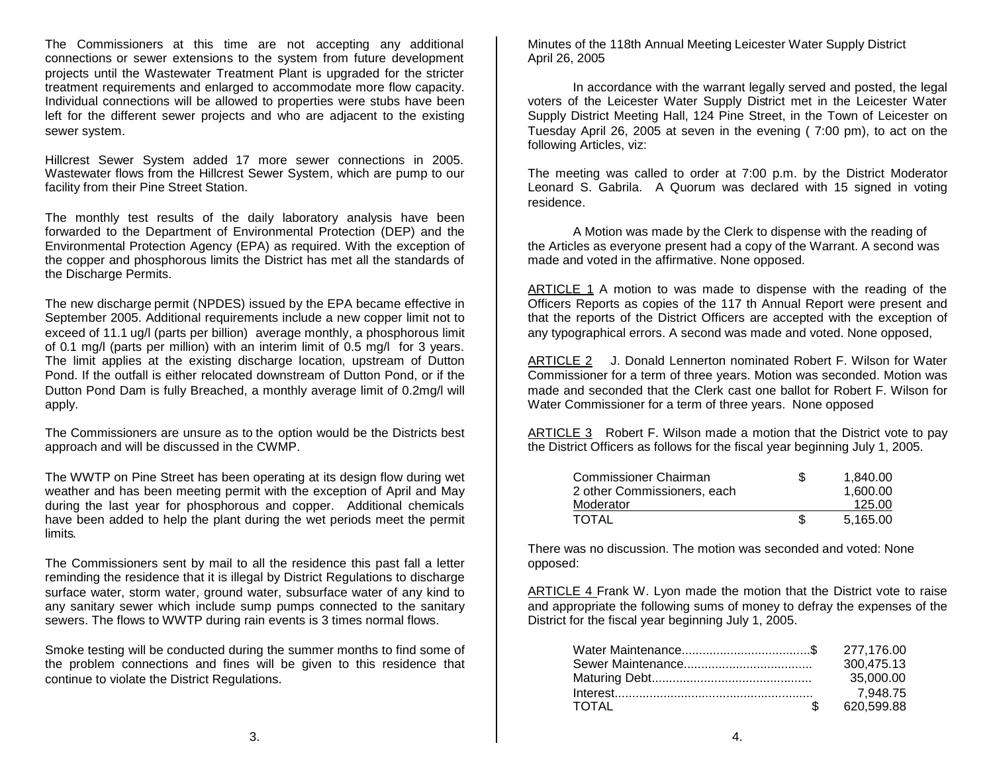The Commissioners at this time are not accepting any additional connections or sewer extensions to the system from future development projects until the Wastewater Treatment Plant is upgraded for the stricter treatment requirements and enlarged to accommodate more flow capacity. Individual connections will be allowed to properties were stubs have been left for the different sewer projects and who are adjacent to the existing sewer system.

Hillcrest Sewer System added 17 more sewer connections in 2005. Wastewater flows from the Hillcrest Sewer System, which are pump to our facility from their Pine Street Station.

The monthly test results of the daily laboratory analysis have been forwarded to the Department of Environmental Protection (DEP) and the Environmental Protection Agency (EPA) as required. With the exception of the copper and phosphorous limits the District has met all the standards of the Discharge Permits.

The new discharge permit (NPDES) issued by the EPA became effective in September 2005. Additional requirements include a new copper limit not to exceed of 11.1 ug/l (parts per billion) average monthly, a phosphorous limit of 0.1 mg/l (parts per million) with an interim limit of 0.5 mg/l for 3 years. The limit applies at the existing discharge location, upstream of Dutton Pond. If the outfall is either relocated downstream of Dutton Pond, or if the Dutton Pond Dam is fully Breached, a monthly average limit of 0.2mg/l will apply.

The Commissioners are unsure as to the option would be the Districts best approach and will be discussed in the CWMP.

The WWTP on Pine Street has been operating at its design flow during wet weather and has been meeting permit with the exception of April and May during the last year for phosphorous and copper. Additional chemicals have been added to help the plant during the wet periods meet the permit limits.

The Commissioners sent by mail to all the residence this past fall a letter reminding the residence that it is illegal by District Regulations to discharge surface water, storm water, ground water, subsurface water of any kind to any sanitary sewer which include sump pumps connected to the sanitary sewers. The flows to WWTP during rain events is 3 times normal flows.

Smoke testing will be conducted during the summer months to find some of the problem connections and fines will be given to this residence that continue to violate the District Regulations.

Minutes of the 118th Annual Meeting Leicester Water Supply District April 26, 2005

In accordance with the warrant legally served and posted, the legal voters of the Leicester Water Supply District met in the Leicester Water Supply District Meeting Hall, 124 Pine Street, in the Town of Leicester on Tuesday April 26, 2005 at seven in the evening ( 7:00 pm), to act on the following Articles, viz:

The meeting was called to order at 7:00 p.m. by the District Moderator Leonard S. Gabrila. A Quorum was declared with 15 signed in voting residence.

A Motion was made by the Clerk to dispense with the reading of the Articles as everyone present had a copy of the Warrant. A second was made and voted in the affirmative. None opposed.

ARTICLE 1 A motion to was made to dispense with the reading of the Officers Reports as copies of the 117 th Annual Report were present and that the reports of the District Officers are accepted with the exception of any typographical errors. A second was made and voted. None opposed,

ARTICLE 2 J. Donald Lennerton nominated Robert F. Wilson for Water Commissioner for a term of three years. Motion was seconded. Motion was made and seconded that the Clerk cast one ballot for Robert F. Wilson for Water Commissioner for a term of three years. None opposed

ARTICLE 3 Robert F. Wilson made a motion that the District vote to pay the District Officers as follows for the fiscal year beginning July 1, 2005.

| Commissioner Chairman       | S   | 1.840.00 |
|-----------------------------|-----|----------|
| 2 other Commissioners, each |     | 1.600.00 |
| Moderator                   |     | 125.00   |
| TOTAL                       | \$. | 5.165.00 |

There was no discussion. The motion was seconded and voted: None opposed:

ARTICLE 4 Frank W. Lyon made the motion that the District vote to raise and appropriate the following sums of money to defray the expenses of the District for the fiscal year beginning July 1, 2005.

| 300,475.13                  |
|-----------------------------|
| 35,000.00                   |
| 7.948.75                    |
| 620,599.88<br>$\mathcal{L}$ |
|                             |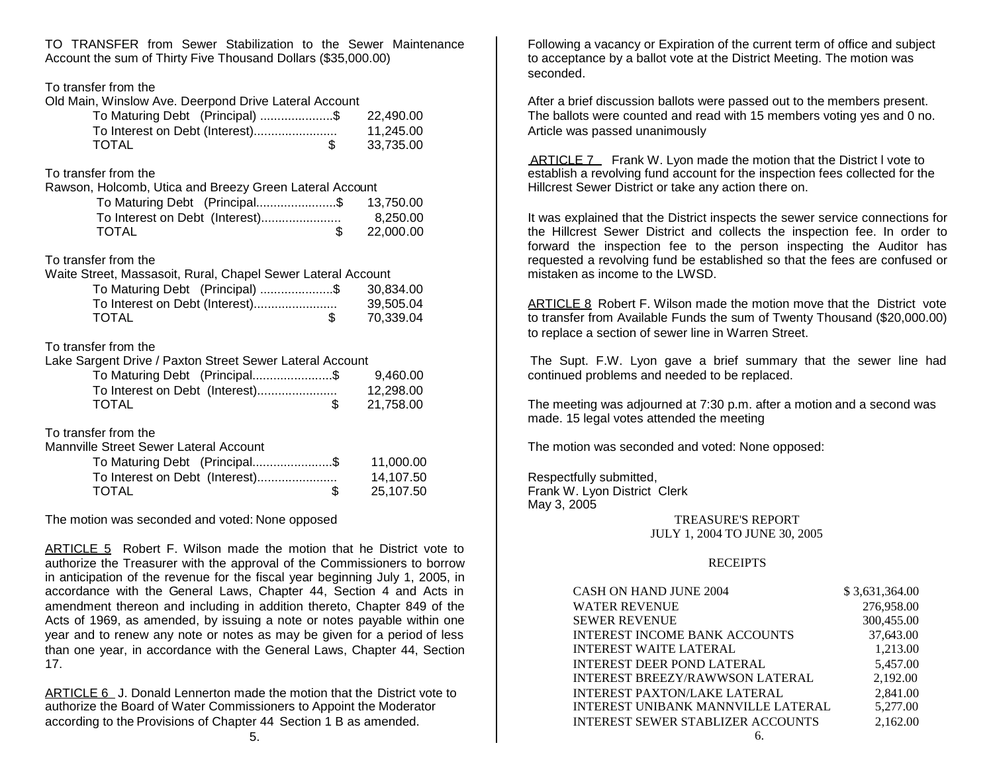TO TRANSFER from Sewer Stabilization to the Sewer Maintenance Account the sum of Thirty Five Thousand Dollars (\$35,000.00)

#### To transfer from the

#### Old Main, Winslow Ave. Deerpond Drive Lateral Account

| To Maturing Debt (Principal) \$ | 22.490.00 |
|---------------------------------|-----------|
|                                 | 11.245.00 |
| <b>TOTAL</b>                    | 33.735.00 |

# To transfer from the

Rawson, Holcomb, Utica and Breezy Green Lateral Account

| To Maturing Debt (Principal\$ | 13,750.00 |
|-------------------------------|-----------|
|                               | 8.250.00  |
| <b>TOTAL</b>                  | 22.000.00 |

### To transfer from the

| Waite Street, Massasoit, Rural, Chapel Sewer Lateral Account |           |
|--------------------------------------------------------------|-----------|
| To Maturing Debt (Principal) \$ 30,834.00                    |           |
|                                                              | 39.505.04 |
| TOTAL<br>R.                                                  | 70.339.04 |
|                                                              |           |

# To transfer from the

| Lake Sargent Drive / Paxton Street Sewer Lateral Account |           |
|----------------------------------------------------------|-----------|
| To Maturing Debt (Principal\$                            | 9.460.00  |
|                                                          | 12.298.00 |
| <b>TOTAL</b>                                             | 21.758.00 |

# To transfer from the

Mannville Street Sewer Lateral Account

| To Maturing Debt (Principal\$ | 11,000.00 |
|-------------------------------|-----------|
|                               | 14.107.50 |
| <b>TOTAL</b>                  | 25.107.50 |

The motion was seconded and voted: None opposed

ARTICLE 5 Robert F. Wilson made the motion that he District vote to authorize the Treasurer with the approval of the Commissioners to borrow in anticipation of the revenue for the fiscal year beginning July 1, 2005, in accordance with the General Laws, Chapter 44, Section 4 and Acts in amendment thereon and including in addition thereto, Chapter 849 of the Acts of 1969, as amended, by issuing a note or notes payable within one year and to renew any note or notes as may be given for a period of less than one year, in accordance with the General Laws, Chapter 44, Section 17.

ARTICLE 6 J. Donald Lennerton made the motion that the District vote to authorize the Board of Water Commissioners to Appoint the Moderator according to the Provisions of Chapter 44 Section 1 B as amended.

Following a vacancy or Expiration of the current term of office and subject to acceptance by a ballot vote at the District Meeting. The motion was seconded.

After a brief discussion ballots were passed out to the members present. The ballots were counted and read with 15 members voting yes and 0 no. Article was passed unanimously

ARTICLE 7 Frank W. Lyon made the motion that the District I vote to establish a revolving fund account for the inspection fees collected for the Hillcrest Sewer District or take any action there on.

It was explained that the District inspects the sewer service connections for the Hillcrest Sewer District and collects the inspection fee. In order to forward the inspection fee to the person inspecting the Auditor has requested a revolving fund be established so that the fees are confused or mistaken as income to the LWSD.

ARTICLE 8 Robert F. Wilson made the motion move that the District vote to transfer from Available Funds the sum of Twenty Thousand (\$20,000.00) to replace a section of sewer line in Warren Street.

The Supt. F.W. Lyon gave a brief summary that the sewer line had continued problems and needed to be replaced.

The meeting was adjourned at 7:30 p.m. after a motion and a second was made. 15 legal votes attended the meeting

The motion was seconded and voted: None opposed:

Respectfully submitted, Frank W. Lyon District Clerk May 3, 2005

> TREASURE'S REPORT JULY 1, 2004 TO JUNE 30, 2005

#### **RECEIPTS**

| <b>CASH ON HAND JUNE 2004</b>            | \$3,631,364.00 |
|------------------------------------------|----------------|
| <b>WATER REVENUE</b>                     | 276,958.00     |
| <b>SEWER REVENUE</b>                     | 300,455.00     |
| <b>INTEREST INCOME BANK ACCOUNTS</b>     | 37,643.00      |
| <b>INTEREST WAITE LATERAL</b>            | 1,213.00       |
| <b>INTEREST DEER POND LATERAL</b>        | 5,457.00       |
| <b>INTEREST BREEZY/RAWWSON LATERAL</b>   | 2,192.00       |
| <b>INTEREST PAXTON/LAKE LATERAL</b>      | 2,841.00       |
| INTEREST UNIBANK MANNVILLE LATERAL       | 5,277.00       |
| <b>INTEREST SEWER STABLIZER ACCOUNTS</b> | 2.162.00       |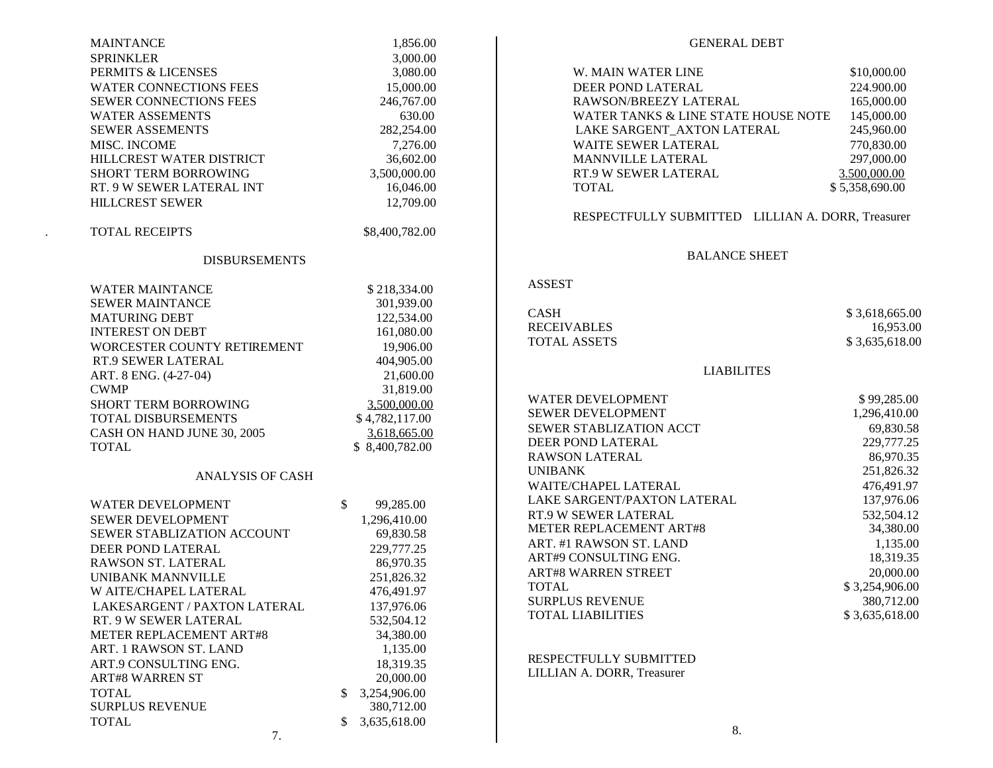| <b>MAINTANCE</b>             | 1,856.00        | <b>GENERAL DEBT</b>                               |                         |
|------------------------------|-----------------|---------------------------------------------------|-------------------------|
| <b>SPRINKLER</b>             | 3,000.00        |                                                   |                         |
| PERMITS & LICENSES           | 3,080.00        | W. MAIN WATER LINE                                | \$10,000.00             |
| WATER CONNECTIONS FEES       | 15,000.00       | DEER POND LATERAL                                 | 224.900.00              |
| SEWER CONNECTIONS FEES       | 246,767.00      | RAWSON/BREEZY LATERAL                             | 165,000.00              |
| <b>WATER ASSEMENTS</b>       | 630.00          | WATER TANKS & LINE STATE HOUSE NOTE               | 145,000.00              |
| <b>SEWER ASSEMENTS</b>       | 282,254.00      | LAKE SARGENT_AXTON LATERAL                        | 245,960.00              |
| MISC. INCOME                 | 7,276.00        | WAITE SEWER LATERAL                               | 770,830.00              |
| HILLCREST WATER DISTRICT     | 36,602.00       | MANNVILLE LATERAL                                 | 297,000.00              |
| SHORT TERM BORROWING         | 3,500,000.00    | RT.9 W SEWER LATERAL                              | 3.500.000.00            |
| RT. 9 W SEWER LATERAL INT    | 16,046.00       | <b>TOTAL</b>                                      | \$5,358,690.00          |
| <b>HILLCREST SEWER</b>       | 12,709.00       |                                                   |                         |
|                              |                 | RESPECTFULLY SUBMITTED LILLIAN A. DORR, Treasurer |                         |
| <b>TOTAL RECEIPTS</b>        | \$8,400,782.00  |                                                   |                         |
|                              |                 |                                                   |                         |
| <b>DISBURSEMENTS</b>         |                 | <b>BALANCE SHEET</b>                              |                         |
|                              |                 | <b>ASSEST</b>                                     |                         |
| <b>WATER MAINTANCE</b>       | \$218,334.00    |                                                   |                         |
| <b>SEWER MAINTANCE</b>       | 301,939.00      | <b>CASH</b>                                       | \$3,618,665.00          |
| <b>MATURING DEBT</b>         | 122,534.00      | <b>RECEIVABLES</b>                                | 16,953.00               |
| <b>INTEREST ON DEBT</b>      | 161,080.00      | <b>TOTAL ASSETS</b>                               | \$3,635,618.00          |
| WORCESTER COUNTY RETIREMENT  | 19,906.00       |                                                   |                         |
| RT.9 SEWER LATERAL           | 404,905.00      | <b>LIABILITES</b>                                 |                         |
| ART. 8 ENG. (4-27-04)        | 21,600.00       |                                                   |                         |
| <b>CWMP</b>                  | 31,819.00       | WATER DEVELOPMENT                                 | \$99,285.00             |
| SHORT TERM BORROWING         | 3,500,000.00    | SEWER DEVELOPMENT                                 | 1,296,410.00            |
| TOTAL DISBURSEMENTS          | \$4,782,117.00  |                                                   |                         |
| CASH ON HAND JUNE 30, 2005   | 3.618.665.00    | SEWER STABLIZATION ACCT<br>DEER POND LATERAL      | 69,830.58<br>229,777.25 |
| <b>TOTAL</b>                 | \$8,400,782.00  |                                                   |                         |
|                              |                 | <b>RAWSON LATERAL</b>                             | 86,970.35               |
| <b>ANALYSIS OF CASH</b>      |                 | <b>UNIBANK</b>                                    | 251,826.32              |
|                              |                 | WAITE/CHAPEL LATERAL                              | 476,491.97              |
| WATER DEVELOPMENT            | \$<br>99,285.00 | LAKE SARGENT/PAXTON LATERAL                       | 137,976.06              |
| SEWER DEVELOPMENT            | 1,296,410.00    | RT.9 W SEWER LATERAL                              | 532,504.12              |
| SEWER STABLIZATION ACCOUNT   | 69,830.58       | METER REPLACEMENT ART#8                           | 34,380.00               |
| DEER POND LATERAL            | 229,777.25      | ART. #1 RAWSON ST. LAND                           | 1,135.00                |
| RAWSON ST. LATERAL           | 86,970.35       | ART#9 CONSULTING ENG.                             | 18,319.35               |
| UNIBANK MANNVILLE            | 251,826.32      | <b>ART#8 WARREN STREET</b>                        | 20,000.00               |
| W AITE/CHAPEL LATERAL        | 476,491.97      | <b>TOTAL</b>                                      | \$3,254,906.00          |
| LAKESARGENT / PAXTON LATERAL | 137,976.06      | <b>SURPLUS REVENUE</b>                            | 380,712.00              |
| RT. 9 W SEWER LATERAL        | 532,504.12      | <b>TOTAL LIABILITIES</b>                          | \$3,635,618.00          |
| METER REPLACEMENT ART#8      | 34,380.00       |                                                   |                         |
| ART. 1 RAWSON ST. LAND       | 1,135.00        |                                                   |                         |
| ART.9 CONSULTING ENG.        | 18,319.35       | RESPECTFULLY SUBMITTED                            |                         |
| <b>ART#8 WARREN ST</b>       | 20,000.00       | LILLIAN A. DORR, Treasurer                        |                         |
| <b>TOTAL</b>                 | \$3,254,906.00  |                                                   |                         |
| <b>SURPLUS REVENUE</b>       | 380,712.00      |                                                   |                         |
|                              |                 |                                                   |                         |
| <b>TOTAL</b>                 | \$3,635,618.00  | 8.                                                |                         |
| 7.                           |                 |                                                   |                         |